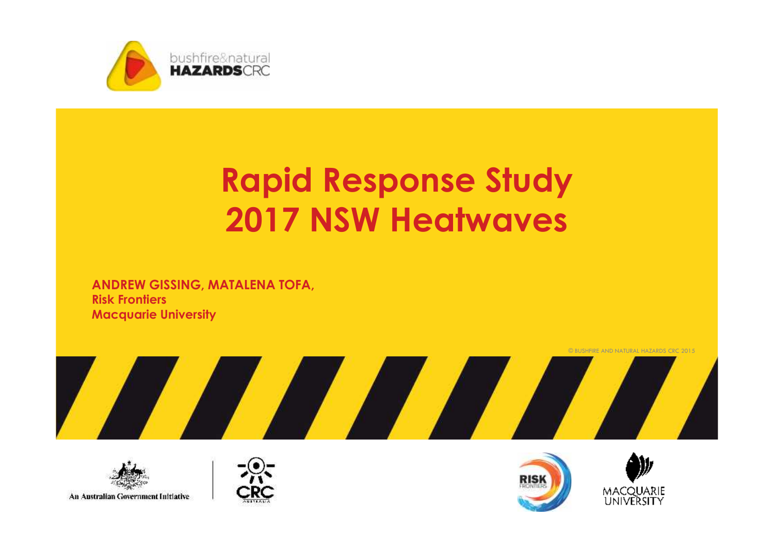

# **Rapid Response Study 2017 NSW Heatwaves**

**ANDREW GISSING, MATALENA TOFA, Risk Frontiers Macquarie University**









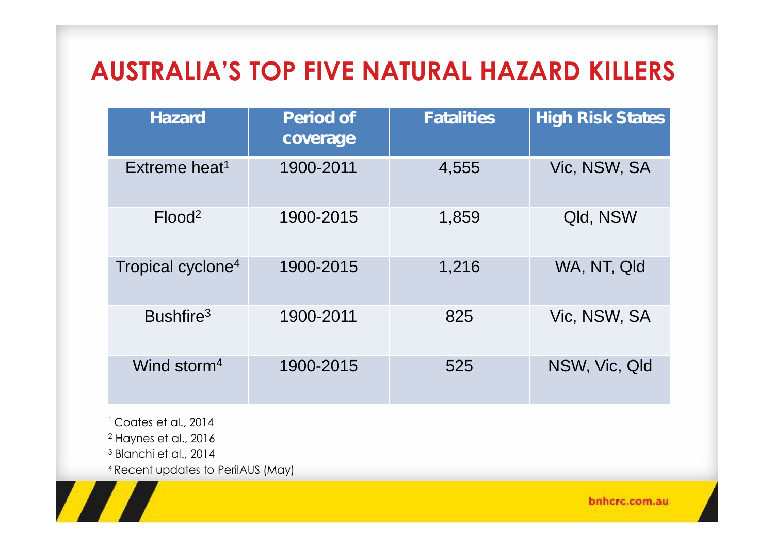# **AUSTRALIA'S TOP FIVE NATURAL HAZARD KILLERS**

| <b>Hazard</b>                 | <b>Period of</b><br>coverage | <b>Fatalities</b> | <b>High Risk States</b> |
|-------------------------------|------------------------------|-------------------|-------------------------|
| Extreme heat <sup>1</sup>     | 1900-2011                    | 4,555             | Vic, NSW, SA            |
| Flood <sup>2</sup>            | 1900-2015                    | 1,859             | Qld, NSW                |
| Tropical cyclone <sup>4</sup> | 1900-2015                    | 1,216             | WA, NT, Qld             |
| Bushfire <sup>3</sup>         | 1900-2011                    | 825               | Vic, NSW, SA            |
| Wind storm <sup>4</sup>       | 1900-2015                    | 525               | NSW, Vic, Qld           |

<sup>1</sup> Coates et al., 2014 <sup>2</sup> Haynes et al., 2016 <sup>3</sup> Blanchi et al., 2014

<sup>4</sup> Recent updates to PerilAUS (May)

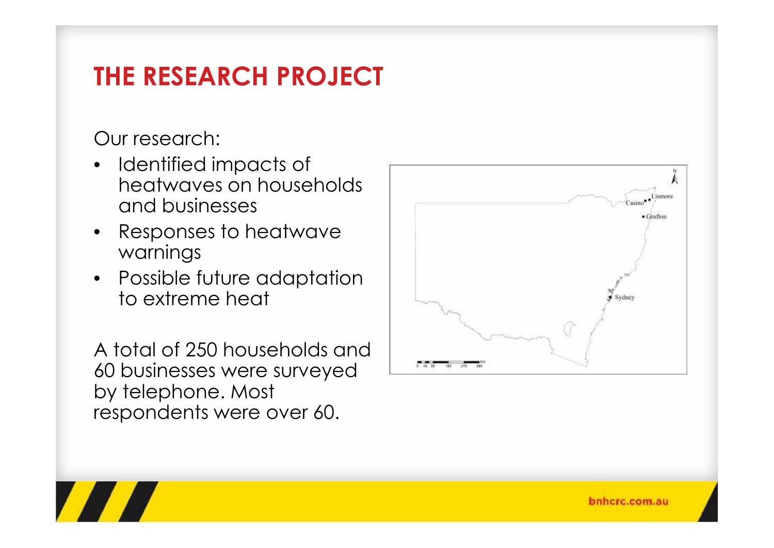# **THE RESEARCH PROJECT**

Our research:

- Identified impacts of heatwaves on households and businesses
- Responses to heatwave warnings
- Possible future adaptation to extreme heat

A total of 250 households and 60 businesses were surveyed by telephone. Most respondents were over 60.



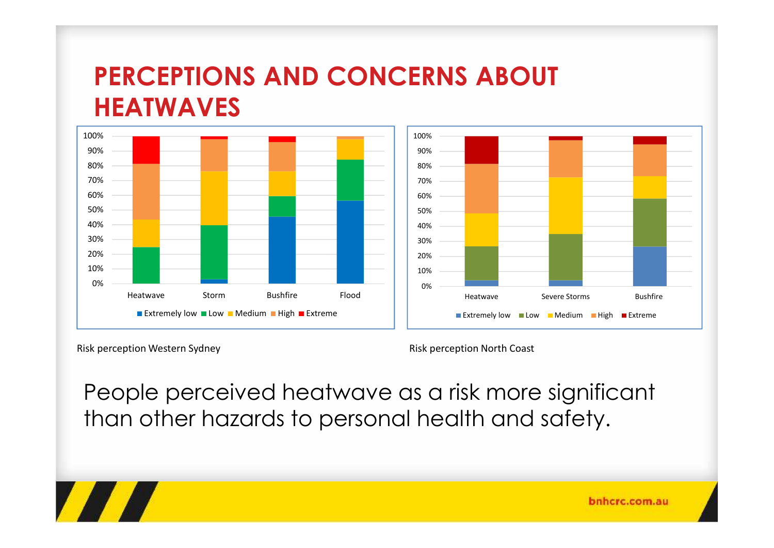#### **PERCEPTIONS AND CONCERNS ABOUT HEATWAVES**





Risk perception Western Sydney

Risk perception North Coast

People perceived heatwave as a risk more significant than other hazards to personal health and safety.

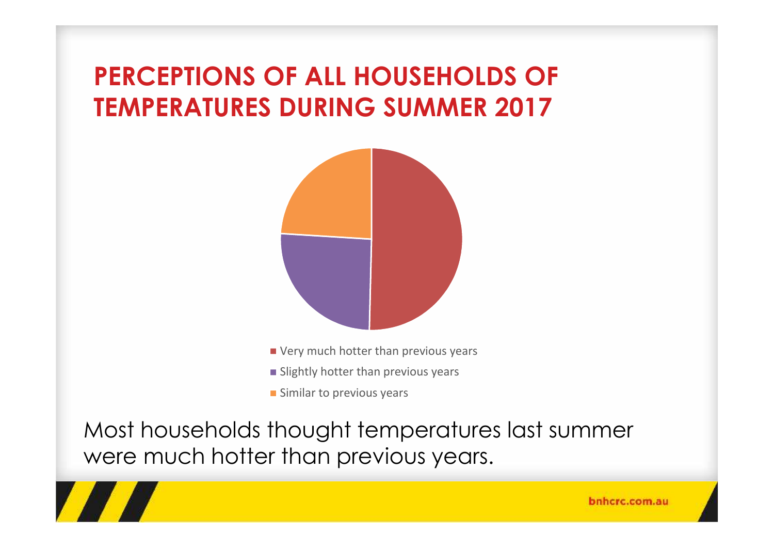# **PERCEPTIONS OF ALL HOUSEHOLDS OF TEMPERATURES DURING SUMMER 2017**



- Very much hotter than previous years
- **Slightly hotter than previous years**
- **Similar to previous years**

Most households thought temperatures last summer were much hotter than previous years.

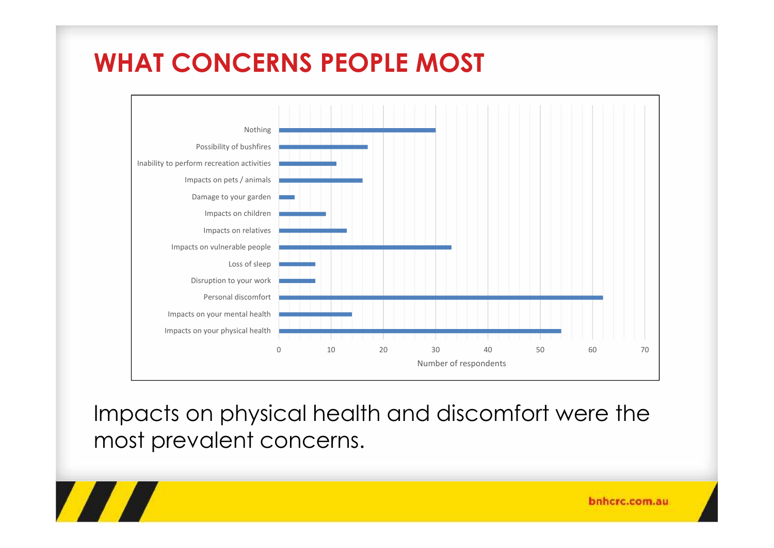# **WHAT CONCERNS PEOPLE MOST**

**TANA** 



Impacts on physical health and discomfort were the most prevalent concerns.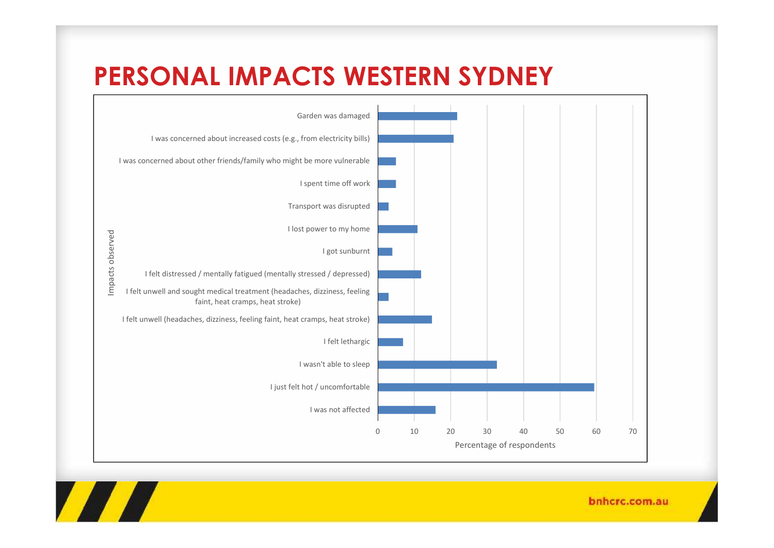#### **PERSONAL IMPACTS WESTERN SYDNEY**

**TANA** 

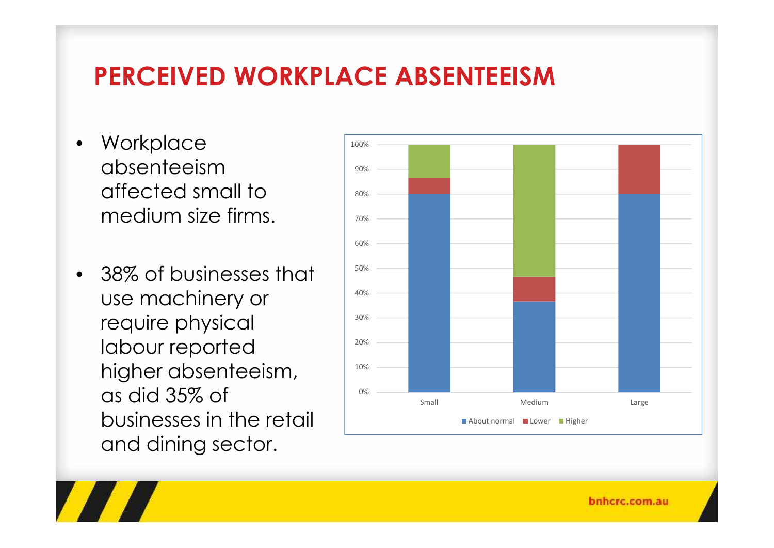#### **PERCEIVED WORKPLACE ABSENTEEISM**

- Workplace absenteeism affected small to medium size firms.
- 38% of businesses that use machinery or require physical labour reported higher absenteeism, as did 35% of businesses in the retail and dining sector.

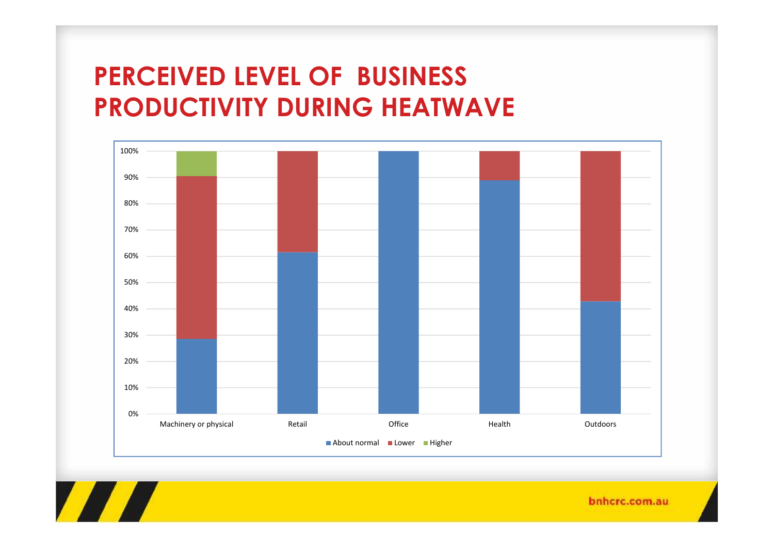# **PERCEIVED LEVEL OF BUSINESS PRODUCTIVITY DURING HEATWAVE**



**TANA**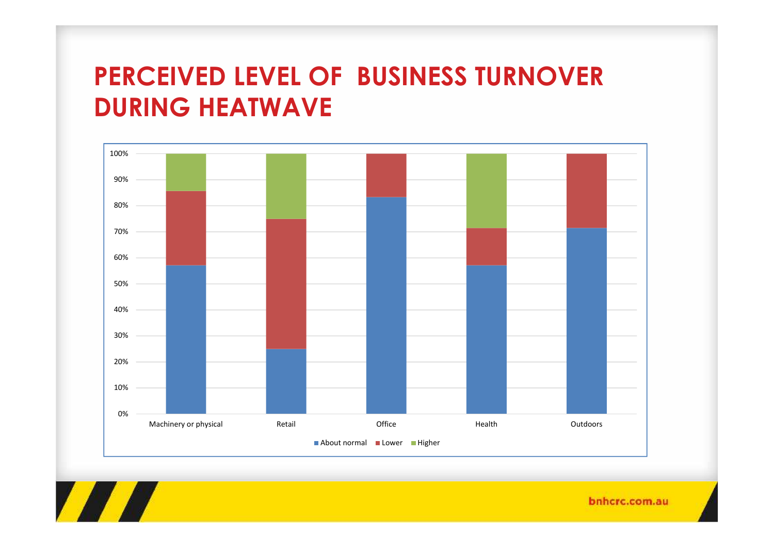## **PERCEIVED LEVEL OF BUSINESS TURNOVER DURING HEATWAVE**



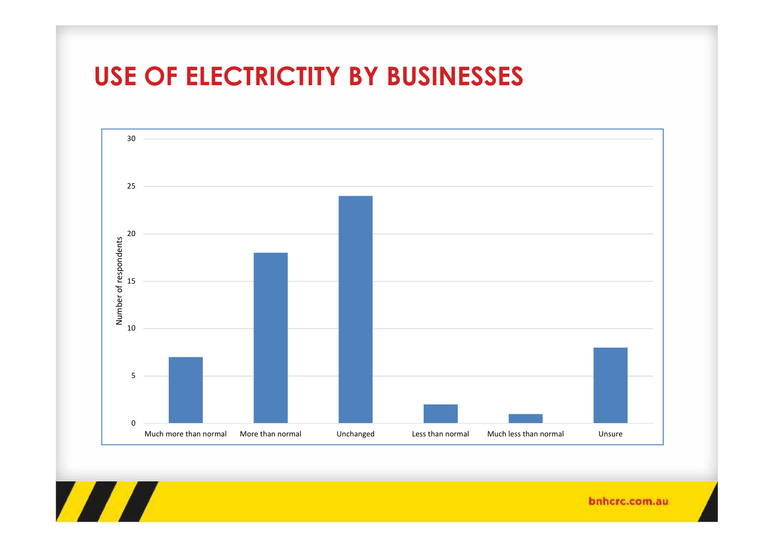#### **USE OF ELECTRICTITY BY BUSINESSES**

**TANA** 

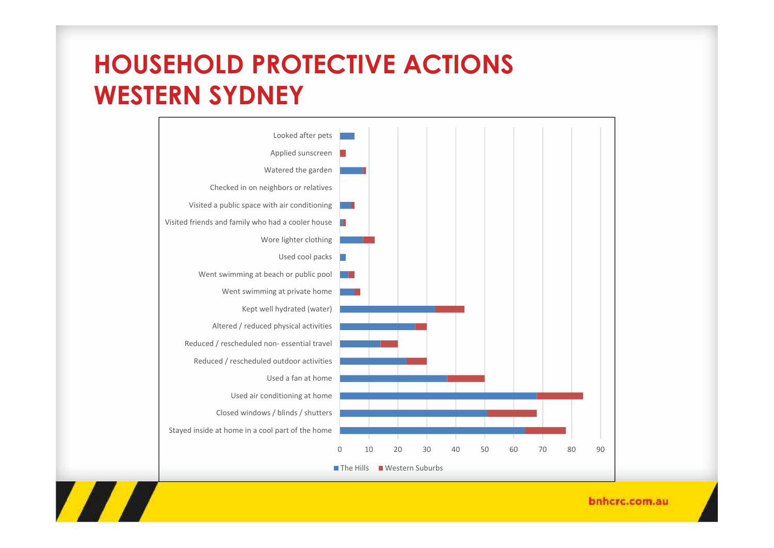## **HOUSEHOLD PROTECTIVE ACTIONS WESTERN SYDNEY**

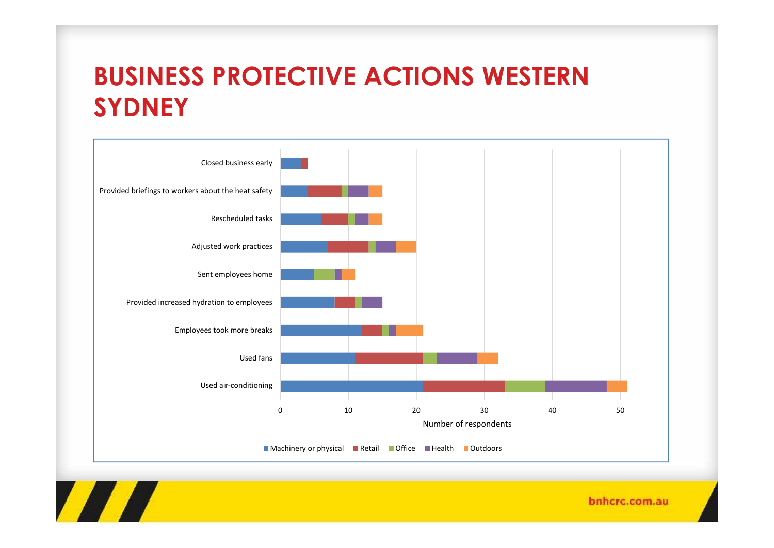## **BUSINESS PROTECTIVE ACTIONS WESTERN SYDNEY**



**TANA**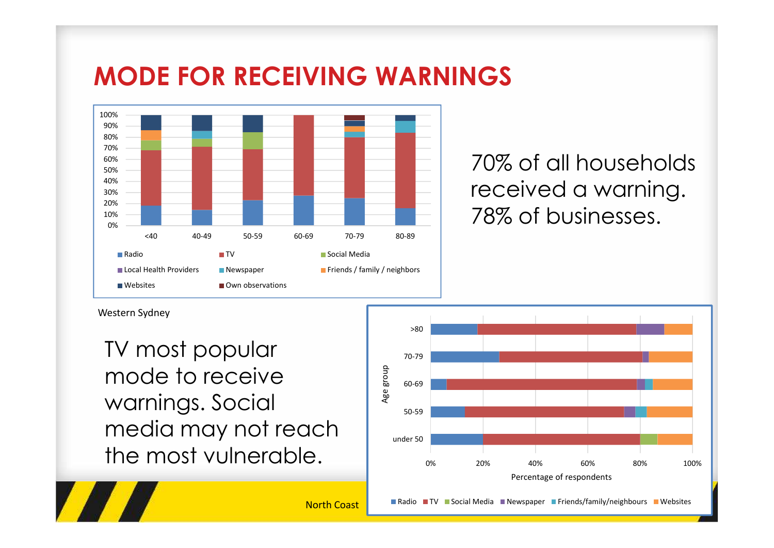## **MODE FOR RECEIVING WARNINGS**



70% of all households received a warning. 78% of businesses.

Western Sydney

**TALLA** 

TV most popular mode to receive<br>warnings Social warnings. Social media may not reach the most vulnerable.

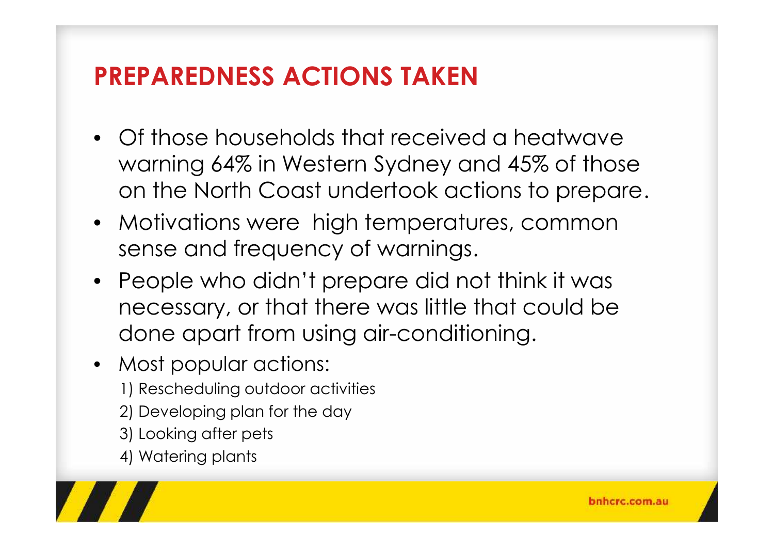## **PREPAREDNESS ACTIONS TAKEN**

- Of those households that received a heatwave warning 64% in Western Sydney and 45% of those on the North Coast undertook actions to prepare.
- Motivations were high temperatures, common sense and frequency of warnings.
- People who didn't prepare did not think it was necessary, or that there was little that could be done apart from using air-conditioning.
- Most popular actions:
	- 1) Rescheduling outdoor activities
	- 2) Developing plan for the day
	- 3) Looking after pets
	- 4) Watering plants

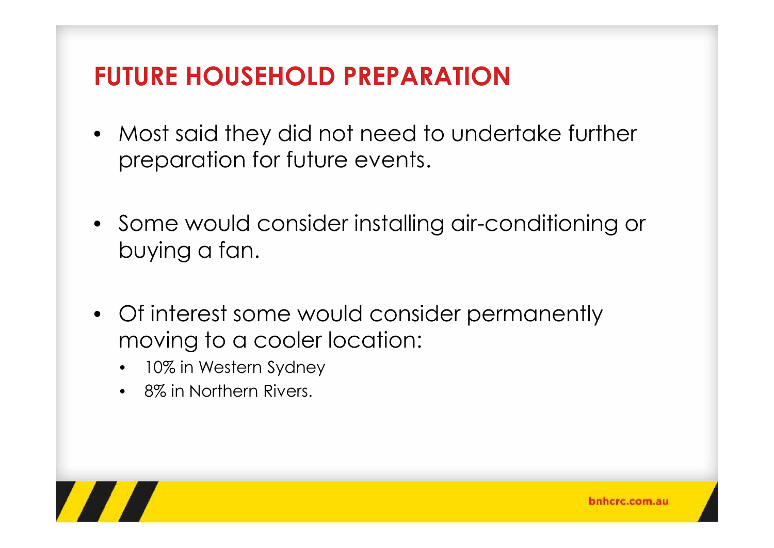# **FUTURE HOUSEHOLD PREPARATION**

- Most said they did not need to undertake further preparation for future events.
- Some would consider installing air-conditioning or buying a fan.
- Of interest some would consider permanently moving to a cooler location:
	- 10% in Western Sydney
	- 8% in Northern Rivers.

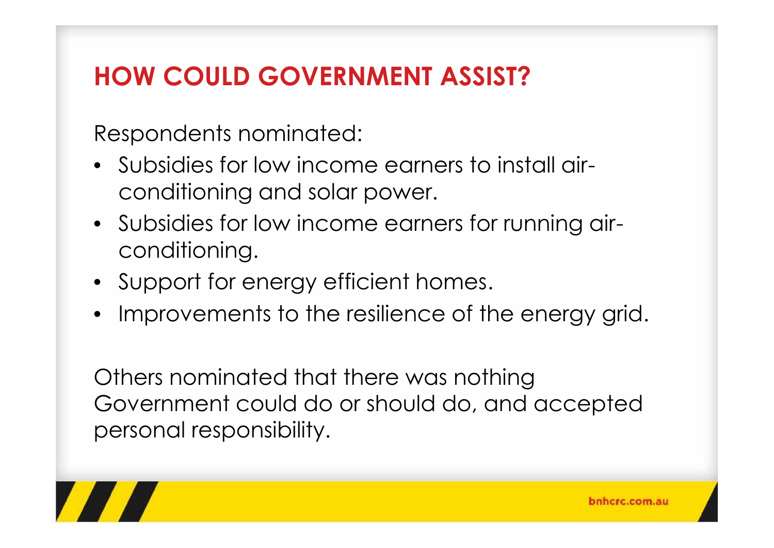# **HOW COULD GOVERNMENT ASSIST?**

Respondents nominated:

- Subsidies for low income earners to install air conditioning and solar power.
- Subsidies for low income earners for running air conditioning.
- Support for energy efficient homes.
- Improvements to the resilience of the energy grid.

Others nominated that there was nothing Government could do or should do, and accepted personal responsibility.